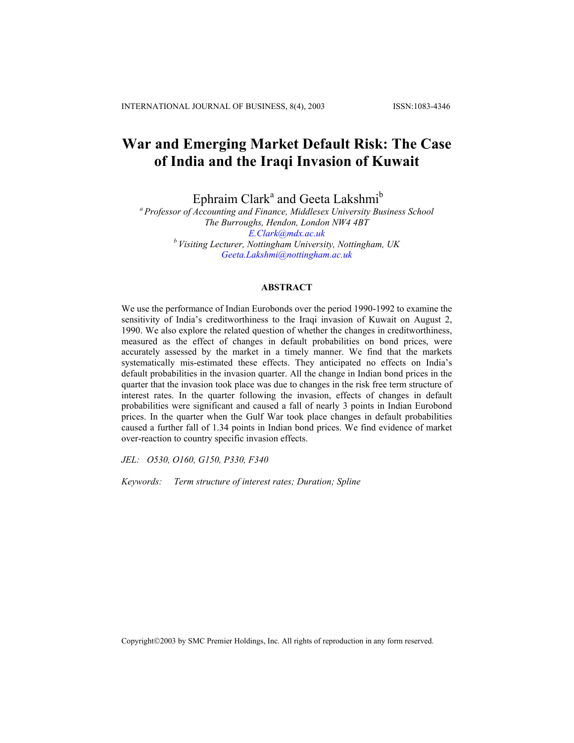# **War and Emerging Market Default Risk: The Case of India and the Iraqi Invasion of Kuwait**

Ephraim Clark<sup>a</sup> and Geeta Lakshmi<sup>b</sup>

*a Professor of Accounting and Finance, Middlesex University Business School The Burroughs, Hendon, London NW4 4BT [E.Clark@mdx.ac.uk](mailto:E.Clark@mdx.ac.uk) b Visiting Lecturer, Nottingham University, Nottingham, UK [Geeta.Lakshmi@nottingham.ac.uk](mailto:Geeta.Lakshmi@pbs.plym.ac.uk)*

## **ABSTRACT**

We use the performance of Indian Eurobonds over the period 1990-1992 to examine the sensitivity of India's creditworthiness to the Iraqi invasion of Kuwait on August 2, 1990. We also explore the related question of whether the changes in creditworthiness, measured as the effect of changes in default probabilities on bond prices, were accurately assessed by the market in a timely manner. We find that the markets systematically mis-estimated these effects. They anticipated no effects on India's default probabilities in the invasion quarter. All the change in Indian bond prices in the quarter that the invasion took place was due to changes in the risk free term structure of interest rates. In the quarter following the invasion, effects of changes in default probabilities were significant and caused a fall of nearly 3 points in Indian Eurobond prices. In the quarter when the Gulf War took place changes in default probabilities caused a further fall of 1.34 points in Indian bond prices. We find evidence of market over-reaction to country specific invasion effects.

*JEL: O530, O160, G150, P330, F340* 

*Keywords: Term structure of interest rates; Duration; Spline* 

Copyright2003 by SMC Premier Holdings, Inc. All rights of reproduction in any form reserved.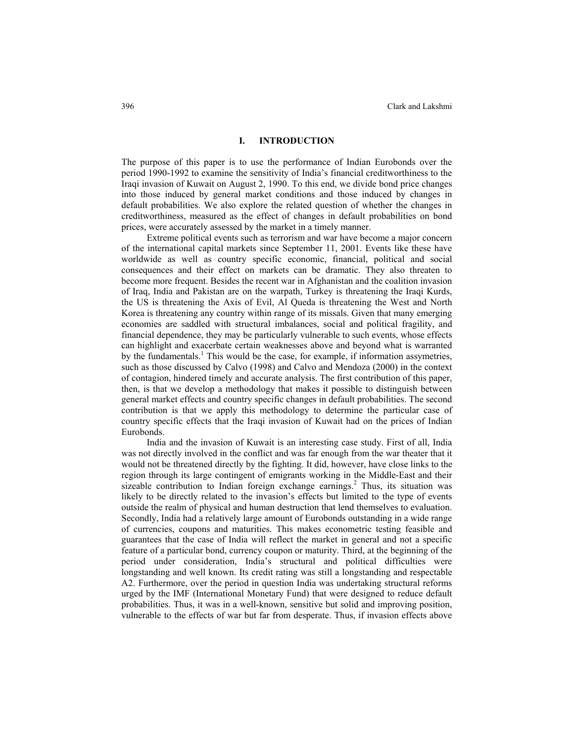## **I. INTRODUCTION**

The purpose of this paper is to use the performance of Indian Eurobonds over the period 1990-1992 to examine the sensitivity of India's financial creditworthiness to the Iraqi invasion of Kuwait on August 2, 1990. To this end, we divide bond price changes into those induced by general market conditions and those induced by changes in default probabilities. We also explore the related question of whether the changes in creditworthiness, measured as the effect of changes in default probabilities on bond prices, were accurately assessed by the market in a timely manner.

Extreme political events such as terrorism and war have become a major concern of the international capital markets since September 11, 2001. Events like these have worldwide as well as country specific economic, financial, political and social consequences and their effect on markets can be dramatic. They also threaten to become more frequent. Besides the recent war in Afghanistan and the coalition invasion of Iraq, India and Pakistan are on the warpath, Turkey is threatening the Iraqi Kurds, the US is threatening the Axis of Evil, Al Queda is threatening the West and North Korea is threatening any country within range of its missals. Given that many emerging economies are saddled with structural imbalances, social and political fragility, and financial dependence, they may be particularly vulnerable to such events, whose effects can highlight and exacerbate certain weaknesses above and beyond what is warranted by the fundamentals.<sup>1</sup> This would be the case, for example, if information assymetries, such as those discussed by Calvo (1998) and Calvo and Mendoza (2000) in the context of contagion, hindered timely and accurate analysis. The first contribution of this paper, then, is that we develop a methodology that makes it possible to distinguish between general market effects and country specific changes in default probabilities. The second contribution is that we apply this methodology to determine the particular case of country specific effects that the Iraqi invasion of Kuwait had on the prices of Indian Eurobonds.

India and the invasion of Kuwait is an interesting case study. First of all, India was not directly involved in the conflict and was far enough from the war theater that it would not be threatened directly by the fighting. It did, however, have close links to the region through its large contingent of emigrants working in the Middle-East and their sizeable contribution to Indian foreign exchange earnings.<sup>2</sup> Thus, its situation was likely to be directly related to the invasion's effects but limited to the type of events outside the realm of physical and human destruction that lend themselves to evaluation. Secondly, India had a relatively large amount of Eurobonds outstanding in a wide range of currencies, coupons and maturities. This makes econometric testing feasible and guarantees that the case of India will reflect the market in general and not a specific feature of a particular bond, currency coupon or maturity. Third, at the beginning of the period under consideration, India's structural and political difficulties were longstanding and well known. Its credit rating was still a longstanding and respectable A2. Furthermore, over the period in question India was undertaking structural reforms urged by the IMF (International Monetary Fund) that were designed to reduce default probabilities. Thus, it was in a well-known, sensitive but solid and improving position, vulnerable to the effects of war but far from desperate. Thus, if invasion effects above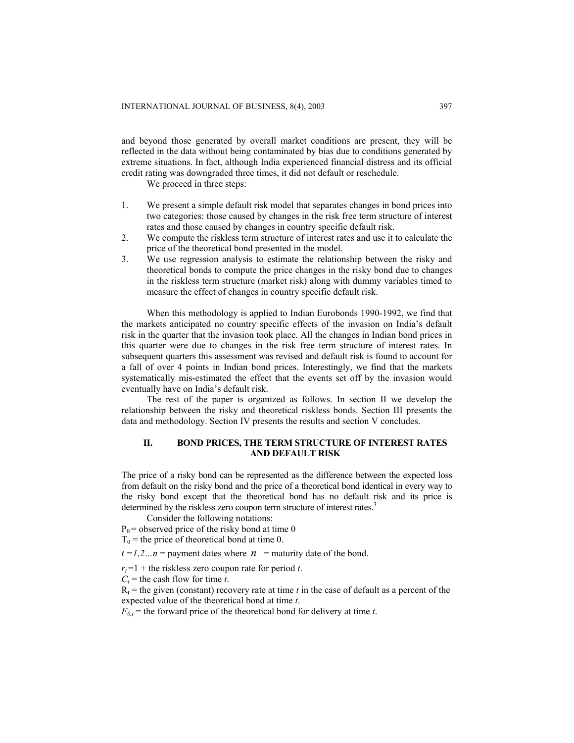and beyond those generated by overall market conditions are present, they will be reflected in the data without being contaminated by bias due to conditions generated by extreme situations. In fact, although India experienced financial distress and its official credit rating was downgraded three times, it did not default or reschedule.

We proceed in three steps:

- 1. We present a simple default risk model that separates changes in bond prices into two categories: those caused by changes in the risk free term structure of interest rates and those caused by changes in country specific default risk.
- 2. We compute the riskless term structure of interest rates and use it to calculate the price of the theoretical bond presented in the model.
- 3. We use regression analysis to estimate the relationship between the risky and theoretical bonds to compute the price changes in the risky bond due to changes in the riskless term structure (market risk) along with dummy variables timed to measure the effect of changes in country specific default risk.

When this methodology is applied to Indian Eurobonds 1990-1992, we find that the markets anticipated no country specific effects of the invasion on India's default risk in the quarter that the invasion took place. All the changes in Indian bond prices in this quarter were due to changes in the risk free term structure of interest rates. In subsequent quarters this assessment was revised and default risk is found to account for a fall of over 4 points in Indian bond prices. Interestingly, we find that the markets systematically mis-estimated the effect that the events set off by the invasion would eventually have on India's default risk.

The rest of the paper is organized as follows. In section II we develop the relationship between the risky and theoretical riskless bonds. Section III presents the data and methodology. Section IV presents the results and section V concludes.

# **II. BOND PRICES, THE TERM STRUCTURE OF INTEREST RATES AND DEFAULT RISK**

The price of a risky bond can be represented as the difference between the expected loss from default on the risky bond and the price of a theoretical bond identical in every way to the risky bond except that the theoretical bond has no default risk and its price is determined by the riskless zero coupon term structure of interest rates.<sup>3</sup>

Consider the following notations:

 $P_0$  = observed price of the risky bond at time 0

 $T_0$  = the price of theoretical bond at time 0.

 $t = 1, 2, \ldots n$  = payment dates where  $n =$  maturity date of the bond.

 $r_t = 1 +$  the riskless zero coupon rate for period *t*.

 $C_t$  = the cash flow for time *t*.

 $R<sub>t</sub>$  = the given (constant) recovery rate at time *t* in the case of default as a percent of the expected value of the theoretical bond at time *t*.

 $F_{0,t}$  = the forward price of the theoretical bond for delivery at time *t*.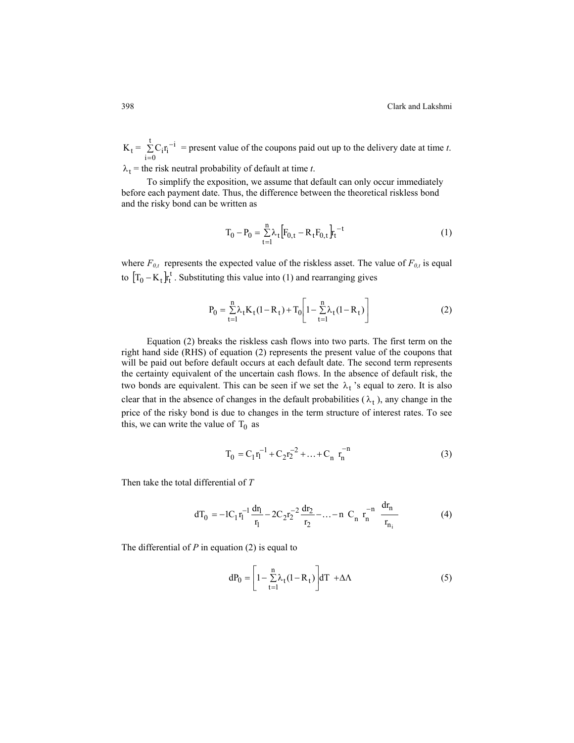$K_t = \sum_{i=0}^{t} C_i r_i^{-i}$  = present value of the coupons paid out up to the delivery date at time *t*.  $i = 0$  $C_i$ r<sub>i</sub><sup>-i</sup>

 $\lambda_t$  = the risk neutral probability of default at time *t*.

To simplify the exposition, we assume that default can only occur immediately before each payment date. Thus, the difference between the theoretical riskless bond and the risky bond can be written as

$$
T_0 - P_0 = \sum_{t=1}^{n} \lambda_t \left[ F_{0,t} - R_t F_{0,t} \right] t_t^{-t}
$$
 (1)

to  $[T_0 - K_t]_t^t$ . Substituting this value into (1) and rearranging gives where  $F_{0,t}$  represents the expected value of the riskless asset. The value of  $F_{0,t}$  is equal

$$
P_0 = \sum_{t=1}^{n} \lambda_t K_t (1 - R_t) + T_0 \left[ 1 - \sum_{t=1}^{n} \lambda_t (1 - R_t) \right]
$$
 (2)

Equation (2) breaks the riskless cash flows into two parts. The first term on the right hand side (RHS) of equation (2) represents the present value of the coupons that will be paid out before default occurs at each default date. The second term represents the certainty equivalent of the uncertain cash flows. In the absence of default risk, the two bonds are equivalent. This can be seen if we set the  $\lambda_t$ 's equal to zero. It is also clear that in the absence of changes in the default probabilities  $(\lambda_t)$ , any change in the price of the risky bond is due to changes in the term structure of interest rates. To see this, we can write the value of  $T_0$  as

$$
T_0 = C_1 r_1^{-1} + C_2 r_2^{-2} + \dots + C_n r_n^{-n}
$$
 (3)

Then take the total differential of *T*

$$
dT_0 = -1C_1 r_1^{-1} \frac{dr_1}{r_1} - 2C_2 r_2^{-2} \frac{dr_2}{r_2} - \dots - n \ C_n \ r_n^{-n} \frac{dr_n}{r_{n_i}}
$$
(4)

The differential of *P* in equation (2) is equal to

$$
dP_0 = \left[1 - \sum_{t=1}^{n} \lambda_t (1 - R_t)\right] dT + \Delta \Lambda
$$
 (5)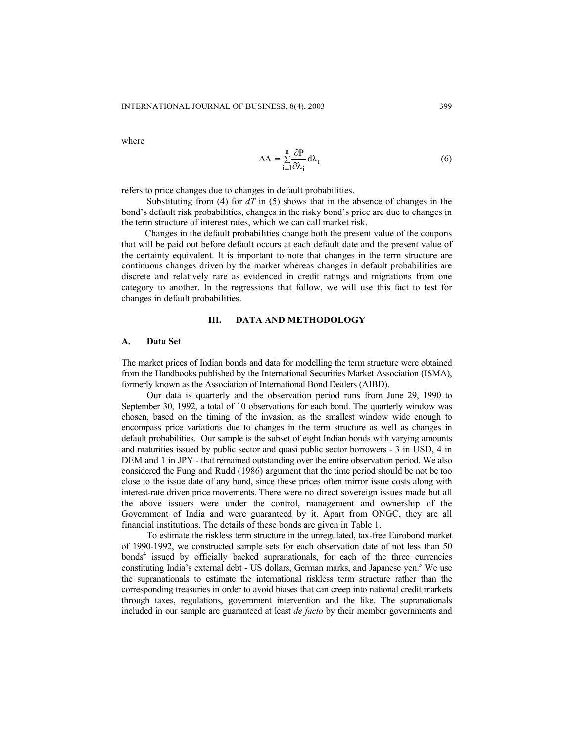where

$$
\Delta \Lambda = \sum_{i=1}^{n} \frac{\partial P}{\partial \lambda_i} d\lambda_i
$$
 (6)

refers to price changes due to changes in default probabilities.

Substituting from (4) for *dT* in (5) shows that in the absence of changes in the bond's default risk probabilities, changes in the risky bond's price are due to changes in the term structure of interest rates, which we can call market risk.

 Changes in the default probabilities change both the present value of the coupons that will be paid out before default occurs at each default date and the present value of the certainty equivalent. It is important to note that changes in the term structure are continuous changes driven by the market whereas changes in default probabilities are discrete and relatively rare as evidenced in credit ratings and migrations from one category to another. In the regressions that follow, we will use this fact to test for changes in default probabilities.

# **III. DATA AND METHODOLOGY**

#### **A. Data Set**

The market prices of Indian bonds and data for modelling the term structure were obtained from the Handbooks published by the International Securities Market Association (ISMA), formerly known as the Association of International Bond Dealers (AIBD).

Our data is quarterly and the observation period runs from June 29, 1990 to September 30, 1992, a total of 10 observations for each bond. The quarterly window was chosen, based on the timing of the invasion, as the smallest window wide enough to encompass price variations due to changes in the term structure as well as changes in default probabilities. Our sample is the subset of eight Indian bonds with varying amounts and maturities issued by public sector and quasi public sector borrowers - 3 in USD, 4 in DEM and 1 in JPY - that remained outstanding over the entire observation period. We also considered the Fung and Rudd (1986) argument that the time period should be not be too close to the issue date of any bond, since these prices often mirror issue costs along with interest-rate driven price movements. There were no direct sovereign issues made but all the above issuers were under the control, management and ownership of the Government of India and were guaranteed by it. Apart from ONGC, they are all financial institutions. The details of these bonds are given in Table 1.

To estimate the riskless term structure in the unregulated, tax-free Eurobond market of 1990-1992, we constructed sample sets for each observation date of not less than 50 bonds<sup>4</sup> issued by officially backed supranationals, for each of the three currencies constituting India's external debt - US dollars, German marks, and Japanese yen.<sup>5</sup> We use the supranationals to estimate the international riskless term structure rather than the corresponding treasuries in order to avoid biases that can creep into national credit markets through taxes, regulations, government intervention and the like. The supranationals included in our sample are guaranteed at least *de facto* by their member governments and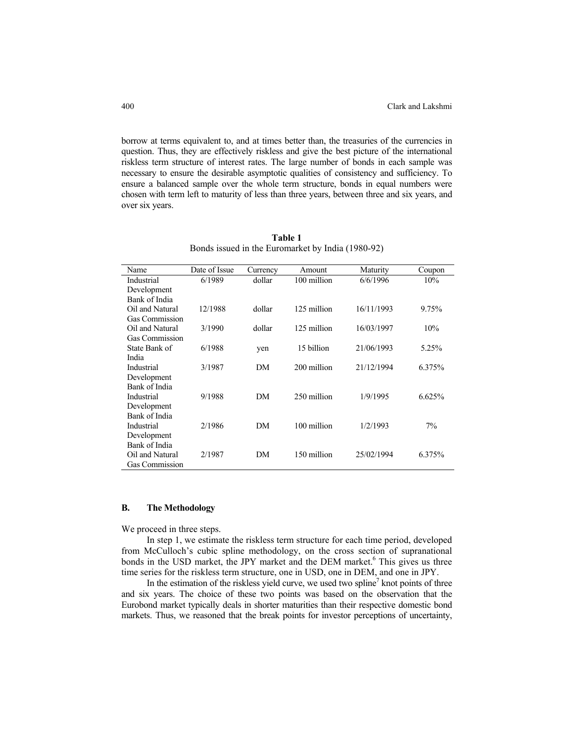borrow at terms equivalent to, and at times better than, the treasuries of the currencies in question. Thus, they are effectively riskless and give the best picture of the international riskless term structure of interest rates. The large number of bonds in each sample was necessary to ensure the desirable asymptotic qualities of consistency and sufficiency. To ensure a balanced sample over the whole term structure, bonds in equal numbers were chosen with term left to maturity of less than three years, between three and six years, and over six years.

| Name                  | Date of Issue | Currency | Amount      | Maturity   | Coupon |
|-----------------------|---------------|----------|-------------|------------|--------|
| Industrial            | 6/1989        | dollar   | 100 million | 6/6/1996   | 10%    |
| Development           |               |          |             |            |        |
| Bank of India         |               |          |             |            |        |
| Oil and Natural       | 12/1988       | dollar   | 125 million | 16/11/1993 | 9.75%  |
| <b>Gas Commission</b> |               |          |             |            |        |
| Oil and Natural       | 3/1990        | dollar   | 125 million | 16/03/1997 | 10%    |
| <b>Gas Commission</b> |               |          |             |            |        |
| State Bank of         | 6/1988        | yen      | 15 billion  | 21/06/1993 | 5.25%  |
| India                 |               |          |             |            |        |
| Industrial            | 3/1987        | DM       | 200 million | 21/12/1994 | 6.375% |
| Development           |               |          |             |            |        |
| Bank of India         |               |          |             |            |        |
| Industrial            | 9/1988        | DM       | 250 million | 1/9/1995   | 6.625% |
| Development           |               |          |             |            |        |
| Bank of India         |               |          |             |            |        |
| Industrial            | 2/1986        | DM       | 100 million | 1/2/1993   | 7%     |
| Development           |               |          |             |            |        |
| Bank of India         |               |          |             |            |        |
| Oil and Natural       | 2/1987        | DM       | 150 million | 25/02/1994 | 6.375% |
| <b>Gas Commission</b> |               |          |             |            |        |

**Table 1**  Bonds issued in the Euromarket by India (1980-92)

#### **B. The Methodology**

We proceed in three steps.

 In step 1, we estimate the riskless term structure for each time period, developed from McCulloch's cubic spline methodology, on the cross section of supranational bonds in the USD market, the JPY market and the DEM market.<sup>6</sup> This gives us three time series for the riskless term structure, one in USD, one in DEM, and one in JPY.

In the estimation of the riskless yield curve, we used two spline<sup>7</sup> knot points of three and six years. The choice of these two points was based on the observation that the Eurobond market typically deals in shorter maturities than their respective domestic bond markets. Thus, we reasoned that the break points for investor perceptions of uncertainty,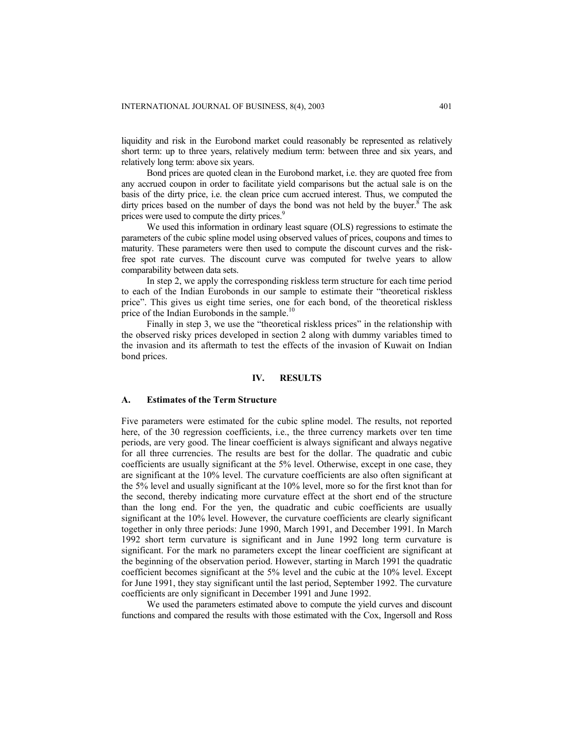liquidity and risk in the Eurobond market could reasonably be represented as relatively short term: up to three years, relatively medium term: between three and six years, and relatively long term: above six years.

 Bond prices are quoted clean in the Eurobond market, i.e. they are quoted free from any accrued coupon in order to facilitate yield comparisons but the actual sale is on the basis of the dirty price, i.e. the clean price cum accrued interest. Thus, we computed the dirty prices based on the number of days the bond was not held by the buyer.<sup>8</sup> The ask prices were used to compute the dirty prices.<sup>9</sup>

We used this information in ordinary least square (OLS) regressions to estimate the parameters of the cubic spline model using observed values of prices, coupons and times to maturity. These parameters were then used to compute the discount curves and the riskfree spot rate curves. The discount curve was computed for twelve years to allow comparability between data sets.

In step 2, we apply the corresponding riskless term structure for each time period to each of the Indian Eurobonds in our sample to estimate their "theoretical riskless price". This gives us eight time series, one for each bond, of the theoretical riskless price of the Indian Eurobonds in the sample.<sup>10</sup>

Finally in step 3, we use the "theoretical riskless prices" in the relationship with the observed risky prices developed in section 2 along with dummy variables timed to the invasion and its aftermath to test the effects of the invasion of Kuwait on Indian bond prices.

### **IV. RESULTS**

### **A. Estimates of the Term Structure**

Five parameters were estimated for the cubic spline model. The results, not reported here, of the 30 regression coefficients, i.e., the three currency markets over ten time periods, are very good. The linear coefficient is always significant and always negative for all three currencies. The results are best for the dollar. The quadratic and cubic coefficients are usually significant at the 5% level. Otherwise, except in one case, they are significant at the 10% level. The curvature coefficients are also often significant at the 5% level and usually significant at the 10% level, more so for the first knot than for the second, thereby indicating more curvature effect at the short end of the structure than the long end. For the yen, the quadratic and cubic coefficients are usually significant at the 10% level. However, the curvature coefficients are clearly significant together in only three periods: June 1990, March 1991, and December 1991. In March 1992 short term curvature is significant and in June 1992 long term curvature is significant. For the mark no parameters except the linear coefficient are significant at the beginning of the observation period. However, starting in March 1991 the quadratic coefficient becomes significant at the 5% level and the cubic at the 10% level. Except for June 1991, they stay significant until the last period, September 1992. The curvature coefficients are only significant in December 1991 and June 1992.

We used the parameters estimated above to compute the yield curves and discount functions and compared the results with those estimated with the Cox, Ingersoll and Ross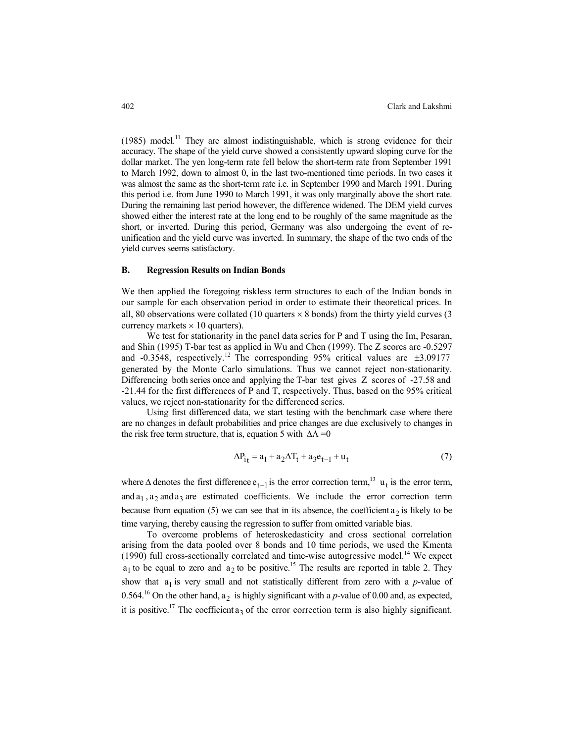(1985) model.<sup>11</sup> They are almost indistinguishable, which is strong evidence for their accuracy. The shape of the yield curve showed a consistently upward sloping curve for the dollar market. The yen long-term rate fell below the short-term rate from September 1991 to March 1992, down to almost 0, in the last two-mentioned time periods. In two cases it was almost the same as the short-term rate i.e. in September 1990 and March 1991. During this period i.e. from June 1990 to March 1991, it was only marginally above the short rate. During the remaining last period however, the difference widened. The DEM yield curves showed either the interest rate at the long end to be roughly of the same magnitude as the short, or inverted. During this period, Germany was also undergoing the event of reunification and the yield curve was inverted. In summary, the shape of the two ends of the yield curves seems satisfactory.

#### **B. Regression Results on Indian Bonds**

We then applied the foregoing riskless term structures to each of the Indian bonds in our sample for each observation period in order to estimate their theoretical prices. In all, 80 observations were collated (10 quarters  $\times$  8 bonds) from the thirty yield curves (3 currency markets  $\times$  10 quarters).

We test for stationarity in the panel data series for P and T using the Im, Pesaran, and Shin (1995) T-bar test as applied in Wu and Chen (1999). The Z scores are -0.5297 and  $-0.3548$ , respectively.<sup>12</sup> The corresponding 95% critical values are  $\pm 3.09177$ generated by the Monte Carlo simulations. Thus we cannot reject non-stationarity. Differencing both series once and applying the T-bar test gives Z scores of -27.58 and -21.44 for the first differences of P and T, respectively. Thus, based on the 95% critical values, we reject non-stationarity for the differenced series.

Using first differenced data, we start testing with the benchmark case where there are no changes in default probabilities and price changes are due exclusively to changes in the risk free term structure, that is, equation 5 with  $\Delta\Lambda$  =0

$$
\Delta P_{it} = a_1 + a_2 \Delta T_t + a_3 e_{t-1} + u_t \tag{7}
$$

where  $\Delta$  denotes the first difference  $e_{t-1}$  is the error correction term,<sup>13</sup> u<sub>t</sub> is the error term, and  $a_1$ ,  $a_2$  and  $a_3$  are estimated coefficients. We include the error correction term because from equation (5) we can see that in its absence, the coefficient  $a_2$  is likely to be time varying, thereby causing the regression to suffer from omitted variable bias.

To overcome problems of heteroskedasticity and cross sectional correlation arising from the data pooled over 8 bonds and 10 time periods, we used the Kmenta (1990) full cross-sectionally correlated and time-wise autogressive model. 14 We expect  $a_1$  to be equal to zero and  $a_2$  to be positive.<sup>15</sup> The results are reported in table 2. They 0.564.<sup>16</sup> On the other hand,  $a_2$  is highly significant with a *p*-value of 0.00 and, as expected, show that  $a_1$  is very small and not statistically different from zero with a *p*-value of it is positive.<sup>17</sup> The coefficient  $a_3$  of the error correction term is also highly significant.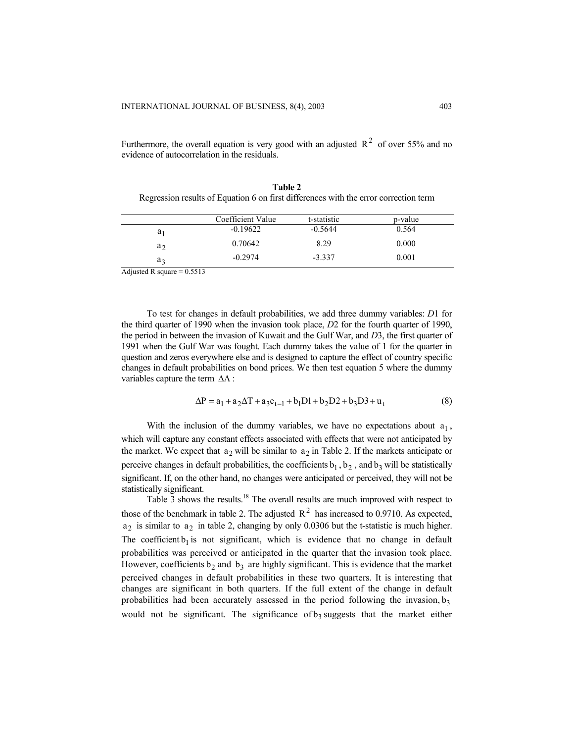Furthermore, the overall equation is very good with an adjusted  $R^2$  of over 55% and no evidence of autocorrelation in the residuals.

| <b>Table 2</b>                                                                       |
|--------------------------------------------------------------------------------------|
| Regression results of Equation 6 on first differences with the error correction term |

| 0.564<br>$-0.5644$<br>$-0.19622$<br>$a_1$<br>0.70642<br>8.29<br>0.000<br>a٠<br>$-0.2974$<br>$-3.337$<br>0.001 |    | Coefficient Value | t-statistic | p-value |
|---------------------------------------------------------------------------------------------------------------|----|-------------------|-------------|---------|
|                                                                                                               |    |                   |             |         |
|                                                                                                               |    |                   |             |         |
|                                                                                                               | aз |                   |             |         |

Adjusted R square  $= 0.5513$ 

To test for changes in default probabilities, we add three dummy variables: *D*1 for the third quarter of 1990 when the invasion took place, *D*2 for the fourth quarter of 1990, the period in between the invasion of Kuwait and the Gulf War, and *D*3, the first quarter of 1991 when the Gulf War was fought. Each dummy takes the value of 1 for the quarter in question and zeros everywhere else and is designed to capture the effect of country specific changes in default probabilities on bond prices. We then test equation 5 where the dummy variables capture the term ∆Λ :

$$
\Delta P = a_1 + a_2 \Delta T + a_3 e_{t-1} + b_1 D1 + b_2 D2 + b_3 D3 + u_t
$$
 (8)

With the inclusion of the dummy variables, we have no expectations about  $a_1$ , which will capture any constant effects associated with effects that were not anticipated by the market. We expect that  $a_2$  will be similar to  $a_2$  in Table 2. If the markets anticipate or perceive changes in default probabilities, the coefficients  $b_1$ ,  $b_2$ , and  $b_3$  will be statistically significant. If, on the other hand, no changes were anticipated or perceived, they will not be statistically significant.

Table 3 shows the results.<sup>18</sup> The overall results are much improved with respect to those of the benchmark in table 2. The adjusted  $R^2$  has increased to 0.9710. As expected,  $a_2$  is similar to  $a_2$  in table 2, changing by only 0.0306 but the t-statistic is much higher. The coefficient  $b_1$  is not significant, which is evidence that no change in default probabilities was perceived or anticipated in the quarter that the invasion took place. However, coefficients  $b_2$  and  $b_3$  are highly significant. This is evidence that the market perceived changes in default probabilities in these two quarters. It is interesting that changes are significant in both quarters. If the full extent of the change in default probabilities had been accurately assessed in the period following the invasion,  $b_3$ would not be significant. The significance of  $b_3$  suggests that the market either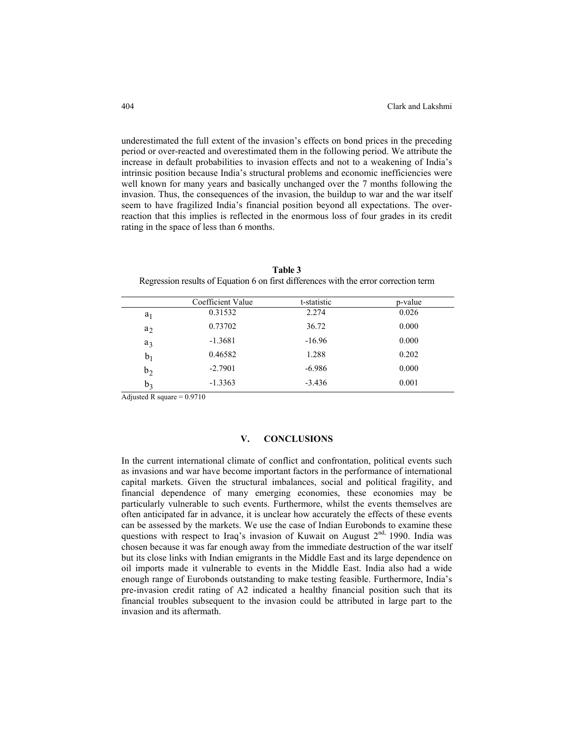underestimated the full extent of the invasion's effects on bond prices in the preceding period or over-reacted and overestimated them in the following period. We attribute the increase in default probabilities to invasion effects and not to a weakening of India's intrinsic position because India's structural problems and economic inefficiencies were well known for many years and basically unchanged over the 7 months following the invasion. Thus, the consequences of the invasion, the buildup to war and the war itself seem to have fragilized India's financial position beyond all expectations. The overreaction that this implies is reflected in the enormous loss of four grades in its credit rating in the space of less than 6 months.

|                | Coefficient Value | t-statistic | p-value |
|----------------|-------------------|-------------|---------|
| $a_1$          | 0.31532           | 2.274       | 0.026   |
| $a_2$          | 0.73702           | 36.72       | 0.000   |
| $a_3$          | $-1.3681$         | $-16.96$    | 0.000   |
| b <sub>1</sub> | 0.46582           | 1.288       | 0.202   |
| b <sub>2</sub> | $-2.7901$         | $-6.986$    | 0.000   |
| $b_3$          | $-1.3363$         | $-3.436$    | 0.001   |

**Table 3** Regression results of Equation 6 on first differences with the error correction term

Adjusted R square  $= 0.9710$ 

# **V. CONCLUSIONS**

In the current international climate of conflict and confrontation, political events such as invasions and war have become important factors in the performance of international capital markets. Given the structural imbalances, social and political fragility, and financial dependence of many emerging economies, these economies may be particularly vulnerable to such events. Furthermore, whilst the events themselves are often anticipated far in advance, it is unclear how accurately the effects of these events can be assessed by the markets. We use the case of Indian Eurobonds to examine these questions with respect to Iraq's invasion of Kuwait on August  $2<sup>nd</sup>$ , 1990. India was chosen because it was far enough away from the immediate destruction of the war itself but its close links with Indian emigrants in the Middle East and its large dependence on oil imports made it vulnerable to events in the Middle East. India also had a wide enough range of Eurobonds outstanding to make testing feasible. Furthermore, India's pre-invasion credit rating of A2 indicated a healthy financial position such that its financial troubles subsequent to the invasion could be attributed in large part to the invasion and its aftermath.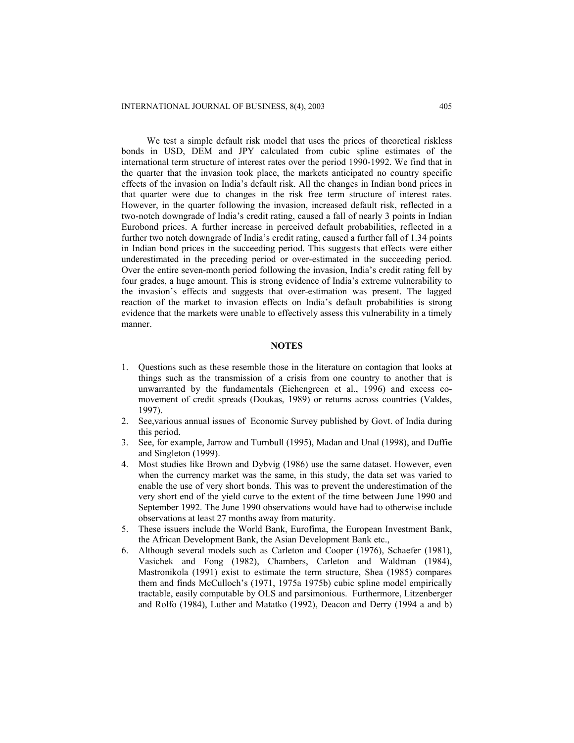We test a simple default risk model that uses the prices of theoretical riskless bonds in USD, DEM and JPY calculated from cubic spline estimates of the international term structure of interest rates over the period 1990-1992. We find that in the quarter that the invasion took place, the markets anticipated no country specific effects of the invasion on India's default risk. All the changes in Indian bond prices in that quarter were due to changes in the risk free term structure of interest rates. However, in the quarter following the invasion, increased default risk, reflected in a two-notch downgrade of India's credit rating, caused a fall of nearly 3 points in Indian Eurobond prices. A further increase in perceived default probabilities, reflected in a further two notch downgrade of India's credit rating, caused a further fall of 1.34 points in Indian bond prices in the succeeding period. This suggests that effects were either underestimated in the preceding period or over-estimated in the succeeding period. Over the entire seven-month period following the invasion, India's credit rating fell by four grades, a huge amount. This is strong evidence of India's extreme vulnerability to the invasion's effects and suggests that over-estimation was present. The lagged reaction of the market to invasion effects on India's default probabilities is strong evidence that the markets were unable to effectively assess this vulnerability in a timely manner.

# **NOTES**

- 1. Questions such as these resemble those in the literature on contagion that looks at things such as the transmission of a crisis from one country to another that is unwarranted by the fundamentals (Eichengreen et al., 1996) and excess comovement of credit spreads (Doukas, 1989) or returns across countries (Valdes, 1997).
- 2. See,various annual issues of Economic Survey published by Govt. of India during this period.
- 3. See, for example, Jarrow and Turnbull (1995), Madan and Unal (1998), and Duffie and Singleton (1999).
- 4. Most studies like Brown and Dybvig (1986) use the same dataset. However, even when the currency market was the same, in this study, the data set was varied to enable the use of very short bonds. This was to prevent the underestimation of the very short end of the yield curve to the extent of the time between June 1990 and September 1992. The June 1990 observations would have had to otherwise include observations at least 27 months away from maturity.
- 5. These issuers include the World Bank, Eurofima, the European Investment Bank, the African Development Bank, the Asian Development Bank etc.,
- 6. Although several models such as Carleton and Cooper (1976), Schaefer (1981), Vasichek and Fong (1982), Chambers, Carleton and Waldman (1984), Mastronikola (1991) exist to estimate the term structure, Shea (1985) compares them and finds McCulloch's (1971, 1975a 1975b) cubic spline model empirically tractable, easily computable by OLS and parsimonious. Furthermore, Litzenberger and Rolfo (1984), Luther and Matatko (1992), Deacon and Derry (1994 a and b)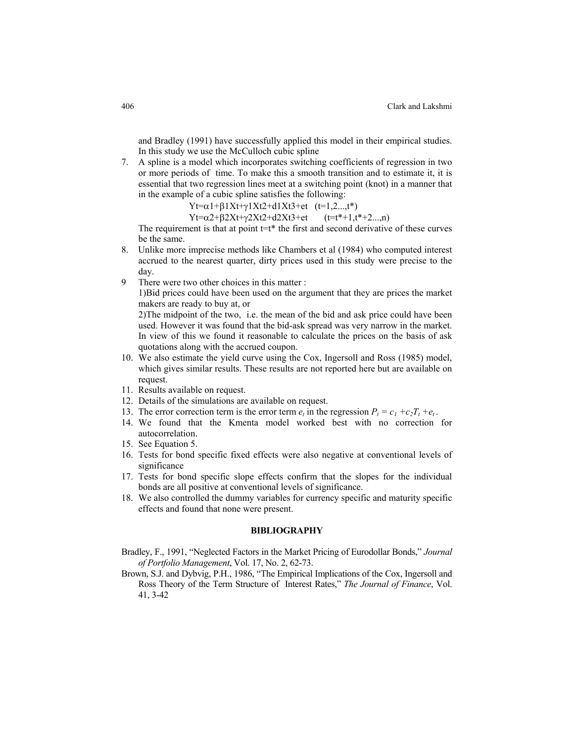and Bradley (1991) have successfully applied this model in their empirical studies. In this study we use the McCulloch cubic spline

7. A spline is a model which incorporates switching coefficients of regression in two or more periods of time. To make this a smooth transition and to estimate it, it is essential that two regression lines meet at a switching point (knot) in a manner that in the example of a cubic spline satisfies the following:

 $Yt=\alpha 1+\beta 1Xt+\gamma 1Xt2+d1Xt3+et$  (t=1,2...,t\*)

 $Yt=\alpha^2+\beta^2Xt+\gamma^2Xt^2+d^2Xt^3+et$  (t=t\*+1,t\*+2...,n)

The requirement is that at point  $t=t^*$  the first and second derivative of these curves be the same.

- 8. Unlike more imprecise methods like Chambers et al (1984) who computed interest accrued to the nearest quarter, dirty prices used in this study were precise to the day.
- 9 There were two other choices in this matter :

 1)Bid prices could have been used on the argument that they are prices the market makers are ready to buy at, or

 2)The midpoint of the two, i.e. the mean of the bid and ask price could have been used. However it was found that the bid-ask spread was very narrow in the market. In view of this we found it reasonable to calculate the prices on the basis of ask quotations along with the accrued coupon.

- 10. We also estimate the yield curve using the Cox, Ingersoll and Ross (1985) model, which gives similar results. These results are not reported here but are available on request.
- 11. Results available on request.
- 12. Details of the simulations are available on request.
- 13. The error correction term is the error term  $e_t$  in the regression  $P_t = c_1 + c_2T_t + e_t$ .
- 14. We found that the Kmenta model worked best with no correction for autocorrelation.
- 15. See Equation 5.
- 16. Tests for bond specific fixed effects were also negative at conventional levels of significance
- 17. Tests for bond specific slope effects confirm that the slopes for the individual bonds are all positive at conventional levels of significance.
- 18. We also controlled the dummy variables for currency specific and maturity specific effects and found that none were present.

#### **BIBLIOGRAPHY**

- Bradley, F., 1991, "Neglected Factors in the Market Pricing of Eurodollar Bonds," *Journal of Portfolio Management*, Vol. 17, No. 2, 62-73.
- Brown, S.J. and Dybvig, P.H., 1986, "The Empirical Implications of the Cox, Ingersoll and Ross Theory of the Term Structure of Interest Rates," *The Journal of Finance*, Vol. 41, 3-42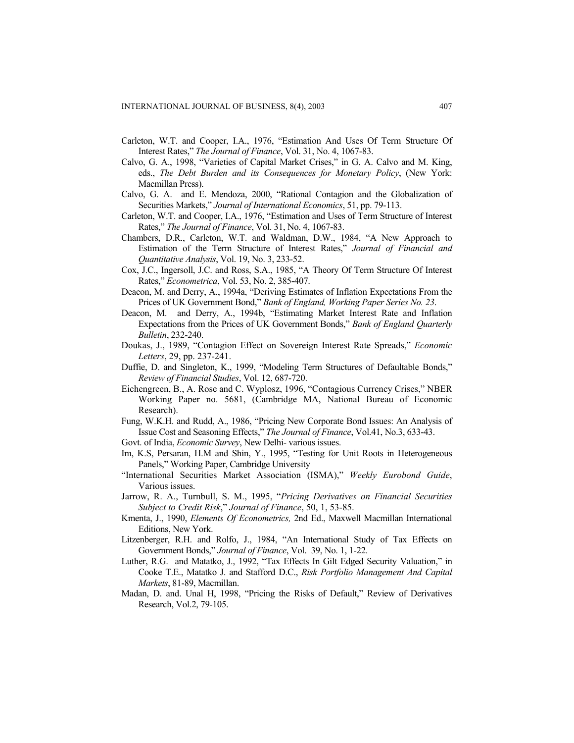- Carleton, W.T. and Cooper, I.A., 1976, "Estimation And Uses Of Term Structure Of Interest Rates," *The Journal of Finance*, Vol. 31, No. 4, 1067-83.
- Calvo, G. A., 1998, "Varieties of Capital Market Crises," in G. A. Calvo and M. King, eds., *The Debt Burden and its Consequences for Monetary Policy*, (New York: Macmillan Press).
- Calvo, G. A. and E. Mendoza, 2000, "Rational Contagion and the Globalization of Securities Markets," *Journal of International Economics*, 51, pp. 79-113.
- Carleton, W.T. and Cooper, I.A., 1976, "Estimation and Uses of Term Structure of Interest Rates," *The Journal of Finance*, Vol. 31, No. 4, 1067-83.
- Chambers, D.R., Carleton, W.T. and Waldman, D.W., 1984, "A New Approach to Estimation of the Term Structure of Interest Rates," *Journal of Financial and Quantitative Analysis*, Vol. 19, No. 3, 233-52.
- Cox, J.C., Ingersoll, J.C. and Ross, S.A., 1985, "A Theory Of Term Structure Of Interest Rates," *Econometrica*, Vol. 53, No. 2, 385-407.
- Deacon, M. and Derry, A., 1994a, "Deriving Estimates of Inflation Expectations From the Prices of UK Government Bond," *Bank of England, Working Paper Series No. 23*.
- Deacon, M. and Derry, A., 1994b, "Estimating Market Interest Rate and Inflation Expectations from the Prices of UK Government Bonds," *Bank of England Quarterly Bulletin*, 232-240.
- Doukas, J., 1989, "Contagion Effect on Sovereign Interest Rate Spreads," *Economic Letters*, 29, pp. 237-241.
- Duffie, D. and Singleton, K., 1999, "Modeling Term Structures of Defaultable Bonds," *Review of Financial Studies*, Vol. 12, 687-720.
- Eichengreen, B., A. Rose and C. Wyplosz, 1996, "Contagious Currency Crises," NBER Working Paper no. 5681, (Cambridge MA, National Bureau of Economic Research).
- Fung, W.K.H. and Rudd, A., 1986, "Pricing New Corporate Bond Issues: An Analysis of Issue Cost and Seasoning Effects," *The Journal of Finance*, Vol.41, No.3, 633-43.
- Govt. of India, *Economic Survey*, New Delhi- various issues.
- Im, K.S, Persaran, H.M and Shin, Y., 1995, "Testing for Unit Roots in Heterogeneous Panels," Working Paper, Cambridge University
- "International Securities Market Association (ISMA)," *Weekly Eurobond Guide*, Various issues.
- Jarrow, R. A., Turnbull, S. M., 1995, "*Pricing Derivatives on Financial Securities Subject to Credit Risk*," *Journal of Finance*, 50, 1, 53-85.
- Kmenta, J., 1990, *Elements Of Econometrics,* 2nd Ed., Maxwell Macmillan International Editions, New York.
- Litzenberger, R.H. and Rolfo, J., 1984, "An International Study of Tax Effects on Government Bonds," *Journal of Finance*, Vol. 39, No. 1, 1-22.
- Luther, R.G. and Matatko, J., 1992, "Tax Effects In Gilt Edged Security Valuation," in Cooke T.E., Matatko J. and Stafford D.C., *Risk Portfolio Management And Capital Markets*, 81-89, Macmillan.
- Madan, D. and. Unal H, 1998, "Pricing the Risks of Default," Review of Derivatives Research, Vol.2, 79-105.